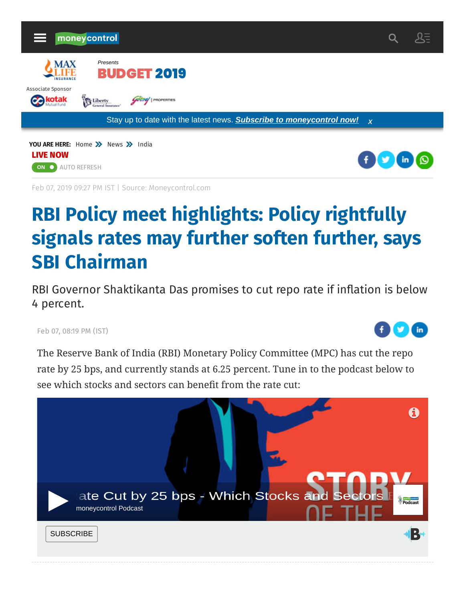

Feb 07, 2019 09:27 PM IST | Source: Moneycontrol.com

# **RBI Policy meet highlights: Policy rightfully signals rates may further soften further, says SBI Chairman**

RBI Governor Shaktikanta Das promises to cut repo rate if inflation is below 4 percent.

Feb 07, 08:19 PM (IST)

AUTO REFRESH **ON**



The Reserve Bank of India (RBI) Monetary Policy Committee (MPC) has cut the repo rate by 25 bps, and currently stands at 6.25 percent. Tune in to the podcast below to see which stocks and sectors can benefit from the rate cut:

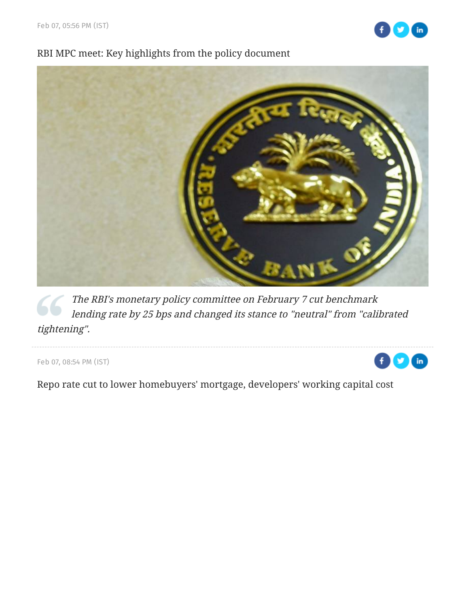

# RBI MPC meet: Key highlights from the policy document



The RBI's monetary policy committee on February 7 cut benchmark [lending rate by 25 bps and changed its stance to "neutral" from "calibrated](https://www.moneycontrol.com/news/business/economy/rbi-mpc-meet-key-highlights-from-the-policy-document-3496041.html) tightening".

Feb 07, 08:54 PM (IST)



[Repo rate cut to lower homebuyers' mortgage, developers' working capital cost](https://www.moneycontrol.com/news/business/real-estate/repo-rate-cut-to-lower-homebuyers-mortgage-developers-working-capital-cost-3498021.html)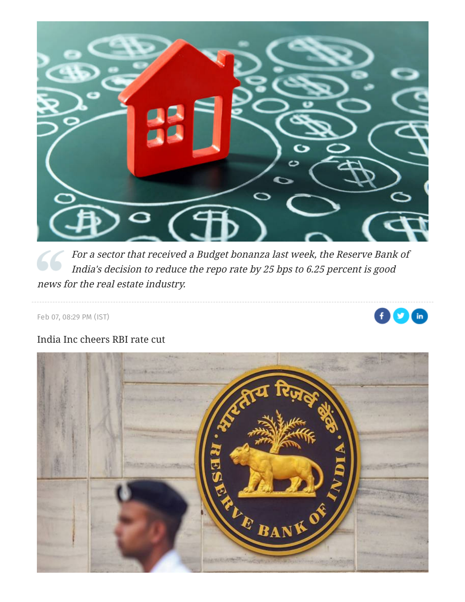

[For a sector that received a Budget bonanza last week, the Reserve Bank of](https://www.moneycontrol.com/news/business/real-estate/repo-rate-cut-to-lower-homebuyers-mortgage-developers-working-capital-cost-3498021.html) India's decision to reduce the repo rate by 25 bps to 6.25 percent is good news for the real estate industry.

Feb 07, 08:29 PM (IST)

#### Œ  $\ln$

# [India Inc cheers RBI rate cut](https://www.moneycontrol.com/news/business/economy/india-inc-cheers-rbi-rate-cut-3498311.html)

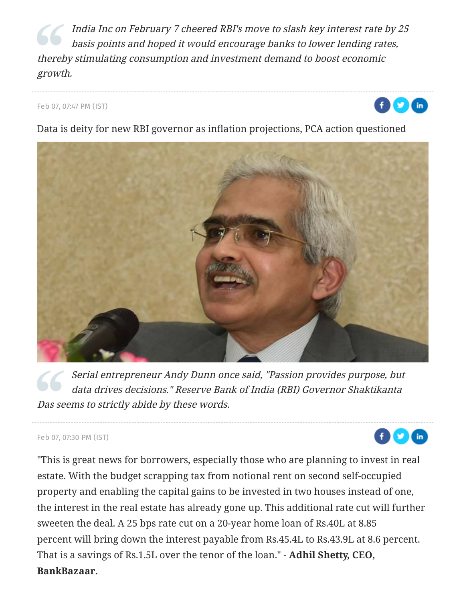India Inc on February 7 cheered RBI's move to slash key interest rate by 25 basis points and hoped it would encourage banks to lower lending rates, [thereby stimulating consumption and investment demand to boost economic](https://www.moneycontrol.com/news/business/economy/india-inc-cheers-rbi-rate-cut-3498311.html) growth.

Feb 07, 07:47 PM (IST)



 $\ln$ 

[Data is deity for new RBI governor as inflation projections, PCA action questioned](https://www.moneycontrol.com/news/business/economy/data-is-deity-for-new-rbi-governor-as-inflation-projections-pca-action-questioned-3500101.html)



Serial entrepreneur Andy Dunn once said, "Passion provides purpose, but data drives decisions." Reserve Bank of India (RBI) Governor Shaktikanta Das seems to strictly abide by these words.

# Feb 07, 07:30 PM (IST)

"This is great news for borrowers, especially those who are planning to invest in real estate. With the budget scrapping tax from notional rent on second self-occupied property and enabling the capital gains to be invested in two houses instead of one, the interest in the real estate has already gone up. This additional rate cut will further sweeten the deal. A 25 bps rate cut on a 20-year home loan of Rs.40L at 8.85 percent will bring down the interest payable from Rs.45.4L to Rs.43.9L at 8.6 percent. That is a savings of Rs.1.5L over the tenor of the loan." - **Adhil Shetty, CEO, BankBazaar.**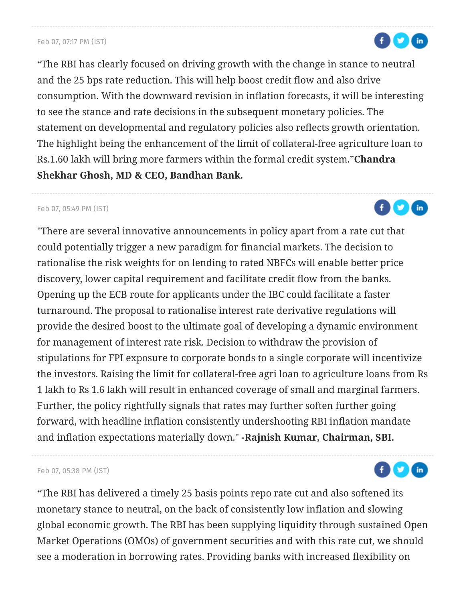# Feb 07, 07:17 PM (IST)

"The RBI has clearly focused on driving growth with the change in stance to neutral and the 25 bps rate reduction. This will help boost credit flow and also drive consumption. With the downward revision in inflation forecasts, it will be interesting to see the stance and rate decisions in the subsequent monetary policies. The statement on developmental and regulatory policies also reflects growth orientation. The highlight being the enhancement of the limit of collateral-free agriculture loan to Rs.1.60 lakh will bring more farmers within the formal credit system."**Chandra Shekhar Ghosh, MD & CEO, Bandhan Bank.**

# Feb 07, 05:49 PM (IST)

"There are several innovative announcements in policy apart from a rate cut that could potentially trigger a new paradigm for financial markets. The decision to rationalise the risk weights for on lending to rated NBFCs will enable better price discovery, lower capital requirement and facilitate credit flow from the banks. Opening up the ECB route for applicants under the IBC could facilitate a faster turnaround. The proposal to rationalise interest rate derivative regulations will provide the desired boost to the ultimate goal of developing a dynamic environment for management of interest rate risk. Decision to withdraw the provision of stipulations for FPI exposure to corporate bonds to a single corporate will incentivize the investors. Raising the limit for collateral-free agri loan to agriculture loans from Rs 1 lakh to Rs 1.6 lakh will result in enhanced coverage of small and marginal farmers. Further, the policy rightfully signals that rates may further soften further going forward, with headline inflation consistently undershooting RBI inflation mandate and inflation expectations materially down." **-Rajnish Kumar, Chairman, SBI.**

## Feb 07, 05:38 PM (IST)

"The RBI has delivered a timely 25 basis points repo rate cut and also softened its monetary stance to neutral, on the back of consistently low inflation and slowing global economic growth. The RBI has been supplying liquidity through sustained Open Market Operations (OMOs) of government securities and with this rate cut, we should see a moderation in borrowing rates. Providing banks with increased flexibility on





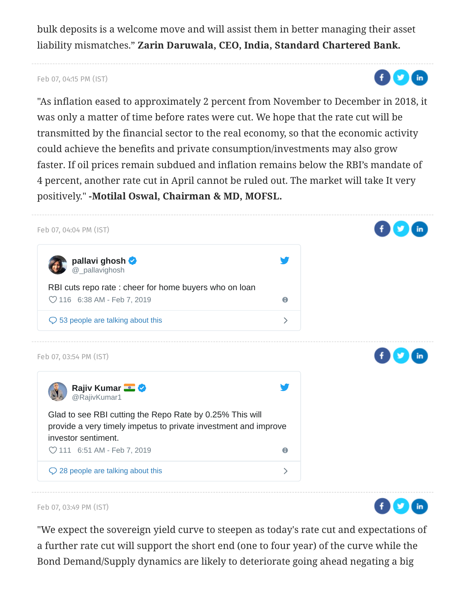bulk deposits is a welcome move and will assist them in better managing their asset liability mismatches." **Zarin Daruwala, CEO, India, Standard Chartered Bank.**

# Feb 07, 04:15 PM (IST)

"As inflation eased to approximately 2 percent from November to December in 2018, it was only a matter of time before rates were cut. We hope that the rate cut will be transmitted by the financial sector to the real economy, so that the economic activity could achieve the benefits and private consumption/investments may also grow faster. If oil prices remain subdued and inflation remains below the RBI's mandate of 4 percent, another rate cut in April cannot be ruled out. The market will take It very positively." **-Motilal Oswal, Chairman & MD, MOFSL.**

 $f(x)$   $(n)$ 



Feb 07, 03:49 PM (IST)

"We expect the sovereign yield curve to steepen as today's rate cut and expectations of a further rate cut will support the short end (one to four year) of the curve while the Bond Demand/Supply dynamics are likely to deteriorate going ahead negating a big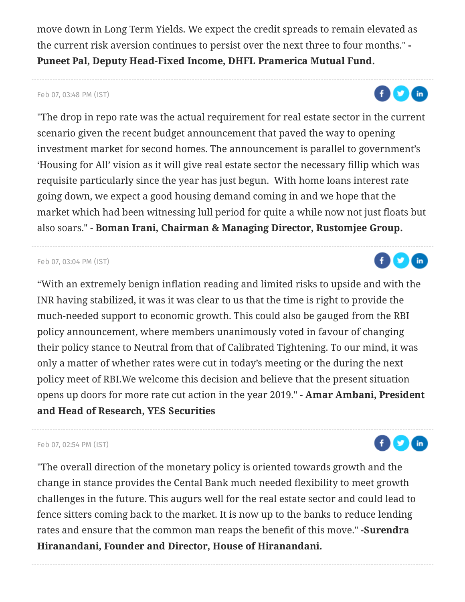move down in Long Term Yields. We expect the credit spreads to remain elevated as the current risk aversion continues to persist over the next three to four months." **- Puneet Pal, Deputy Head-Fixed Income, DHFL Pramerica Mutual Fund.**

# Feb 07, 03:48 PM (IST)

"The drop in repo rate was the actual requirement for real estate sector in the current scenario given the recent budget announcement that paved the way to opening investment market for second homes. The announcement is parallel to government's 'Housing for All' vision as it will give real estate sector the necessary fillip which was requisite particularly since the year has just begun. With home loans interest rate going down, we expect a good housing demand coming in and we hope that the market which had been witnessing lull period for quite a while now not just floats but also soars." - **Boman Irani, Chairman & Managing Director, Rustomjee Group.**

## Feb 07, 03:04 PM (IST)

"With an extremely benign inflation reading and limited risks to upside and with the INR having stabilized, it was it was clear to us that the time is right to provide the much-needed support to economic growth. This could also be gauged from the RBI policy announcement, where members unanimously voted in favour of changing their policy stance to Neutral from that of Calibrated Tightening. To our mind, it was only a matter of whether rates were cut in today's meeting or the during the next policy meet of RBI.We welcome this decision and believe that the present situation opens up doors for more rate cut action in the year 2019." - **Amar Ambani, President and Head of Research, YES Securities**

## Feb 07, 02:54 PM (IST)

"The overall direction of the monetary policy is oriented towards growth and the change in stance provides the Cental Bank much needed flexibility to meet growth challenges in the future. This augurs well for the real estate sector and could lead to fence sitters coming back to the market. It is now up to the banks to reduce lending rates and ensure that the common man reaps the benefit of this move." **-Surendra Hiranandani, Founder and Director, House of Hiranandani.**





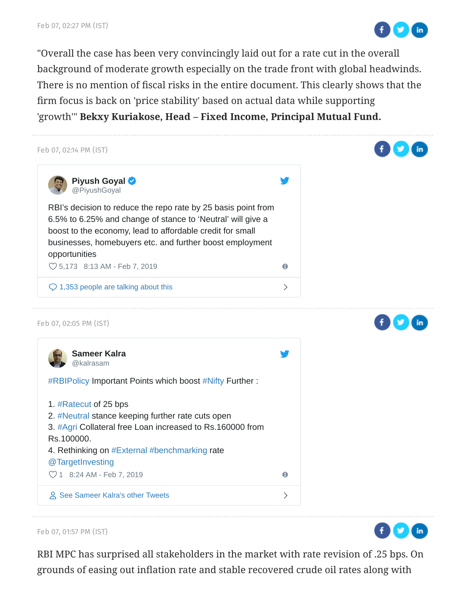

"Overall the case has been very convincingly laid out for a rate cut in the overall background of moderate growth especially on the trade front with global headwinds. There is no mention of fiscal risks in the entire document. This clearly shows that the firm focus is back on 'price stability' based on actual data while supporting 'growth'" **Bekxy Kuriakose, Head – Fixed Income, Principal Mutual Fund.**



Feb 07, 01:57 PM (IST)

RBI MPC has surprised all stakeholders in the market with rate revision of .25 bps. On grounds of easing out inflation rate and stable recovered crude oil rates along with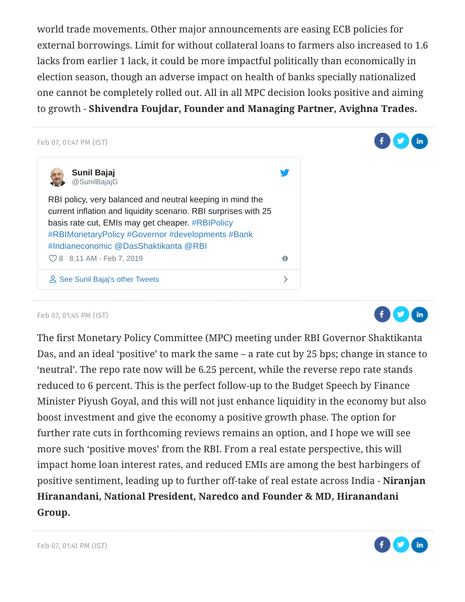world trade movements. Other major announcements are easing ECB policies for external borrowings. Limit for without collateral loans to farmers also increased to 1.6 lacks from earlier 1 lack, it could be more impactful politically than economically in election season, though an adverse impact on health of banks specially nationalized one cannot be completely rolled out. All in all MPC decision looks positive and aiming to growth - **Shivendra Foujdar, Founder and Managing Partner, Avighna Trades.**



## Feb 07, 01:45 PM (IST)

The first Monetary Policy Committee (MPC) meeting under RBI Governor Shaktikanta Das, and an ideal 'positive' to mark the same – a rate cut by 25 bps; change in stance to 'neutral'. The repo rate now will be 6.25 percent, while the reverse repo rate stands reduced to 6 percent. This is the perfect follow-up to the Budget Speech by Finance Minister Piyush Goyal, and this will not just enhance liquidity in the economy but also boost investment and give the economy a positive growth phase. The option for further rate cuts in forthcoming reviews remains an option, and I hope we will see more such 'positive moves' from the RBI. From a real estate perspective, this will impact home loan interest rates, and reduced EMIs are among the best harbingers of positive sentiment, leading up to further off-take of real estate across India - **Niranjan Hiranandani, National President, Naredco and Founder & MD, Hiranandani Group.**



 $f(x)$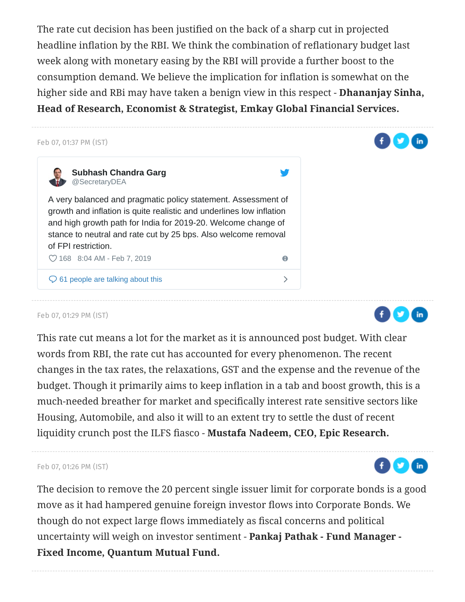The rate cut decision has been justified on the back of a sharp cut in projected headline inflation by the RBI. We think the combination of reflationary budget last week along with monetary easing by the RBI will provide a further boost to the consumption demand. We believe the implication for inflation is somewhat on the higher side and RBi may have taken a benign view in this respect - **Dhananjay Sinha, Head of Research, Economist & Strategist, Emkay Global Financial Services.**



## Feb 07, 01:29 PM (IST)

This rate cut means a lot for the market as it is announced post budget. With clear words from RBI, the rate cut has accounted for every phenomenon. The recent changes in the tax rates, the relaxations, GST and the expense and the revenue of the budget. Though it primarily aims to keep inflation in a tab and boost growth, this is a much-needed breather for market and specifically interest rate sensitive sectors like Housing, Automobile, and also it will to an extent try to settle the dust of recent liquidity crunch post the ILFS fiasco - **Mustafa Nadeem, CEO, Epic Research.**

#### Feb 07, 01:26 PM (IST)

The decision to remove the 20 percent single issuer limit for corporate bonds is a good move as it had hampered genuine foreign investor flows into Corporate Bonds. We though do not expect large flows immediately as fiscal concerns and political uncertainty will weigh on investor sentiment - **Pankaj Pathak - Fund Manager - Fixed Income, Quantum Mutual Fund.**



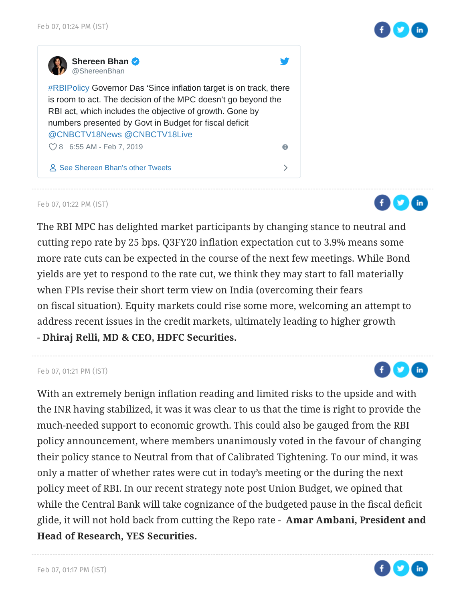

 $\bigoplus$   $\bigodot$   $\bigoplus$ 

 $f(x)$ 



Feb 07, 01:22 PM (IST)

The RBI MPC has delighted market participants by changing stance to neutral and cutting repo rate by 25 bps. Q3FY20 inflation expectation cut to 3.9% means some more rate cuts can be expected in the course of the next few meetings. While Bond yields are yet to respond to the rate cut, we think they may start to fall materially when FPIs revise their short term view on India (overcoming their fears on fiscal situation). Equity markets could rise some more, welcoming an attempt to address recent issues in the credit markets, ultimately leading to higher growth - **Dhiraj Relli, MD & CEO, HDFC Securities.**

#### Feb 07, 01:21 PM (IST)

With an extremely benign inflation reading and limited risks to the upside and with the INR having stabilized, it was it was clear to us that the time is right to provide the much-needed support to economic growth. This could also be gauged from the RBI policy announcement, where members unanimously voted in the favour of changing their policy stance to Neutral from that of Calibrated Tightening. To our mind, it was only a matter of whether rates were cut in today's meeting or the during the next policy meet of RBI. In our recent strategy note post Union Budget, we opined that while the Central Bank will take cognizance of the budgeted pause in the fiscal deficit glide, it will not hold back from cutting the Repo rate - **Amar Ambani, President and Head of Research, YES Securities.**

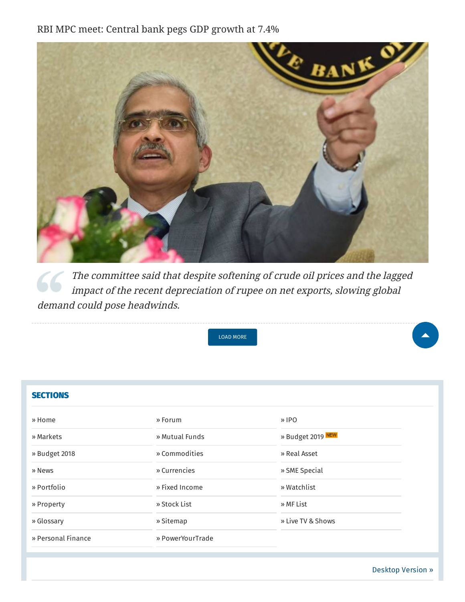RBI MPC meet: Central bank pegs GDP growth at 7.4%



[The committee said that despite softening of crude oil prices and the lagged](https://www.moneycontrol.com/news/business/economy/rbi-mpc-meet-central-bank-pegs-gdp-growth-at-7-4-3496401.html) impact of the recent depreciation of rupee on net exports, slowing global demand could pose headwinds.



| <b>SECTIONS</b>    |                  |                   |
|--------------------|------------------|-------------------|
| » Home             | » Forum          | $\theta$ IPO      |
| » Markets          | » Mutual Funds   | » Budget 2019 NEW |
| » Budget 2018      | » Commodities    | » Real Asset      |
| » News             | » Currencies     | » SME Special     |
| » Portfolio        | » Fixed Income   | » Watchlist       |
| » Property         | » Stock List     | » MF List         |
| » Glossary         | » Sitemap        | » Live TV & Shows |
| » Personal Finance | » PowerYourTrade |                   |
|                    |                  |                   |